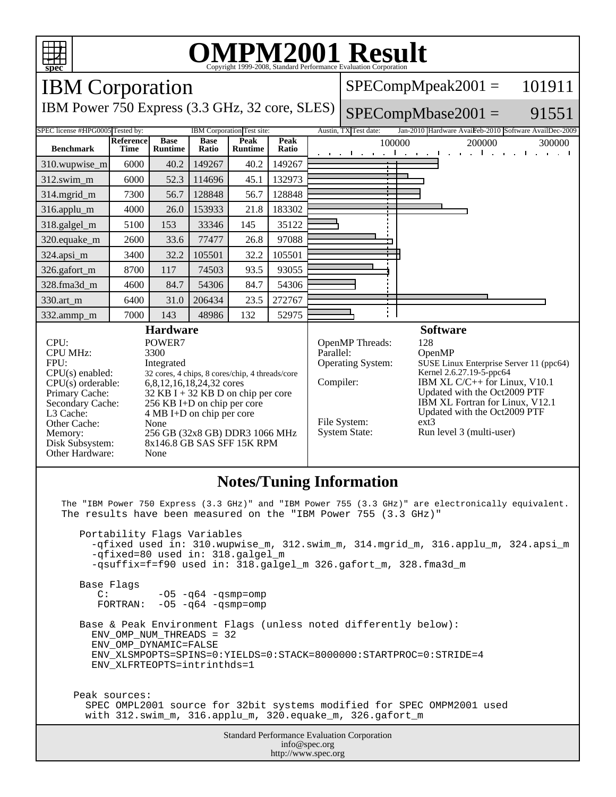

The "IBM Power 750 Express (3.3 GHz)" and "IBM Power 755 (3.3 GHz)" are electronically equivalent. The results have been measured on the "IBM Power 755 (3.3 GHz)"

 Portability Flags Variables -qfixed used in: 310.wupwise m, 312.swim m, 314.mgrid m, 316.applu m, 324.apsi m -qfixed=80 used in: 318.galgel\_m -qsuffix=f=f90 used in: 318.galgel\_m 326.gafort\_m, 328.fma3d\_m Base Flags C: -05 -q64 -qsmp=omp<br>FORTRAN: -05 -q64 -qsmp=omp  $-05$   $-964$   $-$ qsmp=omp Base & Peak Environment Flags (unless noted differently below): ENV\_OMP\_NUM\_THREADS = 32 ENV\_OMP\_DYNAMIC=FALSE ENV\_XLSMPOPTS=SPINS=0:YIELDS=0:STACK=8000000:STARTPROC=0:STRIDE=4 ENV\_XLFRTEOPTS=intrinthds=1 Peak sources: SPEC OMPL2001 source for 32bit systems modified for SPEC OMPM2001 used

with 312.swim\_m, 316.applu\_m, 320.equake\_m, 326.gafort\_m

Standard Performance Evaluation Corporation info@spec.org http://www.spec.org